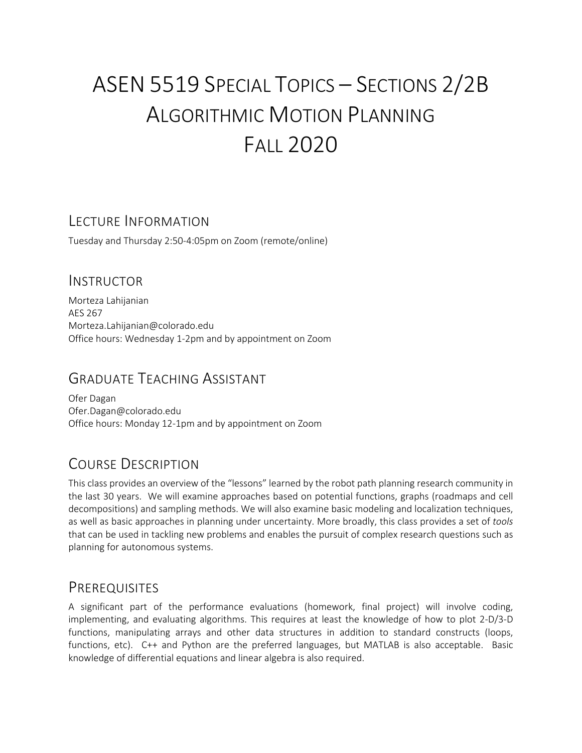# ASEN 5519 SPECIAL TOPICS – SECTIONS 2/2B ALGORITHMIC MOTION PLANNING FALL 2020

### LECTURE INFORMATION

Tuesday and Thursday 2:50-4:05pm on Zoom (remote/online)

#### INSTRUCTOR

Morteza Lahijanian AES 267 Morteza.Lahijanian@colorado.edu Office hours: Wednesday 1-2pm and by appointment on Zoom

### GRADUATE TEACHING ASSISTANT

Ofer Dagan Ofer.Dagan@colorado.edu Office hours: Monday 12-1pm and by appointment on Zoom

# COURSE DESCRIPTION

This class provides an overview of the "lessons" learned by the robot path planning research community in the last 30 years. We will examine approaches based on potential functions, graphs (roadmaps and cell decompositions) and sampling methods. We will also examine basic modeling and localization techniques, as well as basic approaches in planning under uncertainty. More broadly, this class provides a set of *tools* that can be used in tackling new problems and enables the pursuit of complex research questions such as planning for autonomous systems.

### PREREQUISITES

A significant part of the performance evaluations (homework, final project) will involve coding, implementing, and evaluating algorithms. This requires at least the knowledge of how to plot 2-D/3-D functions, manipulating arrays and other data structures in addition to standard constructs (loops, functions, etc). C++ and Python are the preferred languages, but MATLAB is also acceptable. Basic knowledge of differential equations and linear algebra is also required.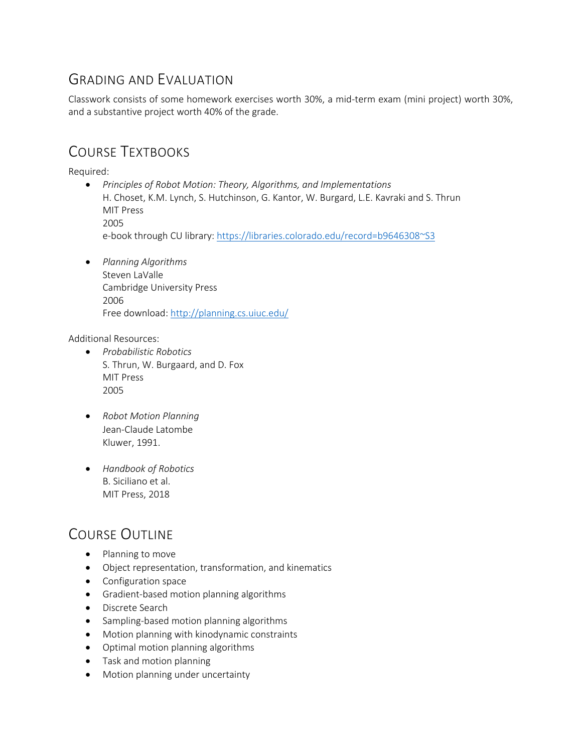# GRADING AND EVALUATION

Classwork consists of some homework exercises worth 30%, a mid-term exam (mini project) worth 30%, and a substantive project worth 40% of the grade.

# COURSE TEXTBOOKS

Required:

- *Principles of Robot Motion: Theory, Algorithms, and Implementations* H. Choset, K.M. Lynch, S. Hutchinson, G. Kantor, W. Burgard, L.E. Kavraki and S. Thrun MIT Press 2005 e-book through CU library: https://libraries.colorado.edu/record=b9646308~S3
- *Planning Algorithms* Steven LaValle Cambridge University Press 2006 Free download: http://planning.cs.uiuc.edu/

Additional Resources:

- *Probabilistic Robotics* S. Thrun, W. Burgaard, and D. Fox MIT Press 2005
- *Robot Motion Planning* Jean-Claude Latombe Kluwer, 1991.
- *Handbook of Robotics* B. Siciliano et al. MIT Press, 2018

# COURSE OUTLINE

- Planning to move
- Object representation, transformation, and kinematics
- Configuration space
- Gradient-based motion planning algorithms
- Discrete Search
- Sampling-based motion planning algorithms
- Motion planning with kinodynamic constraints
- Optimal motion planning algorithms
- Task and motion planning
- Motion planning under uncertainty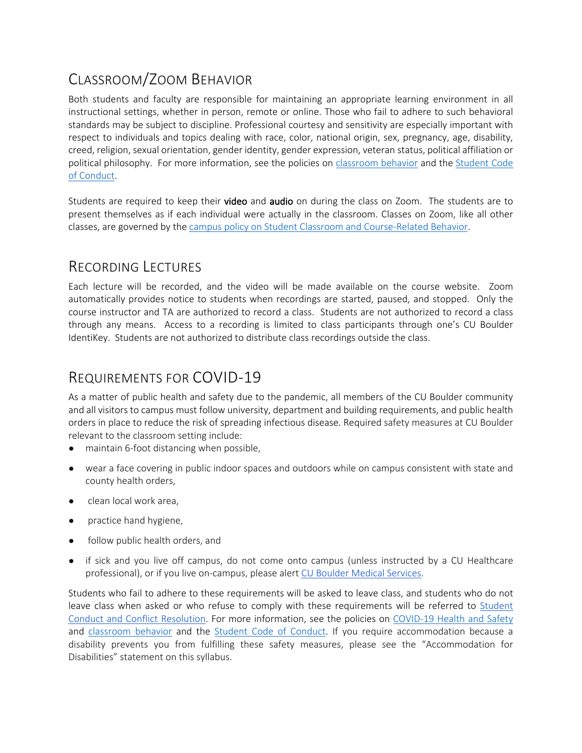# CLASSROOM/ZOOM BEHAVIOR

Both students and faculty are responsible for maintaining an appropriate learning environment in all instructional settings, whether in person, remote or online. Those who fail to adhere to such behavioral standards may be subject to discipline. Professional courtesy and sensitivity are especially important with respect to individuals and topics dealing with race, color, national origin, sex, pregnancy, age, disability, creed, religion, sexual orientation, gender identity, gender expression, veteran status, political affiliation or political philosophy. For more information, see the policies on classroom behavior and the Student Code of Conduct.

Students are required to keep their **video** and **audio** on during the class on Zoom. The students are to present themselves as if each individual were actually in the classroom. Classes on Zoom, like all other classes, are governed by the campus policy on Student Classroom and Course-Related Behavior.

### RECORDING LECTURES

Each lecture will be recorded, and the video will be made available on the course website. Zoom automatically provides notice to students when recordings are started, paused, and stopped. Only the course instructor and TA are authorized to record a class. Students are not authorized to record a class through any means. Access to a recording is limited to class participants through one's CU Boulder IdentiKey. Students are not authorized to distribute class recordings outside the class.

## REQUIREMENTS FOR COVID-19

As a matter of public health and safety due to the pandemic, all members of the CU Boulder community and all visitors to campus must follow university, department and building requirements, and public health orders in place to reduce the risk of spreading infectious disease. Required safety measures at CU Boulder relevant to the classroom setting include:

- maintain 6-foot distancing when possible,
- wear a face covering in public indoor spaces and outdoors while on campus consistent with state and county health orders,
- clean local work area,
- practice hand hygiene,
- follow public health orders, and
- if sick and you live off campus, do not come onto campus (unless instructed by a CU Healthcare professional), or if you live on-campus, please alert CU Boulder Medical Services.

Students who fail to adhere to these requirements will be asked to leave class, and students who do not leave class when asked or who refuse to comply with these requirements will be referred to Student Conduct and Conflict Resolution. For more information, see the policies on COVID-19 Health and Safety and classroom behavior and the Student Code of Conduct. If you require accommodation because a disability prevents you from fulfilling these safety measures, please see the "Accommodation for Disabilities" statement on this syllabus.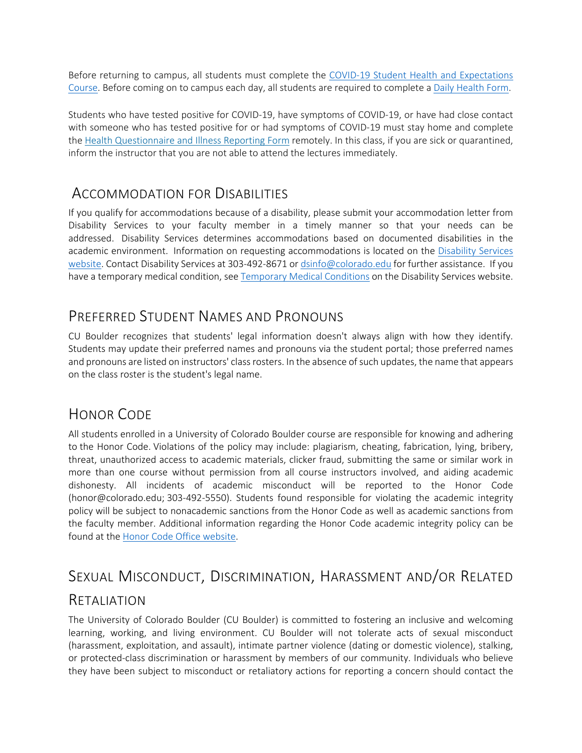Before returning to campus, all students must complete the COVID-19 Student Health and Expectations Course. Before coming on to campus each day, all students are required to complete a Daily Health Form.

Students who have tested positive for COVID-19, have symptoms of COVID-19, or have had close contact with someone who has tested positive for or had symptoms of COVID-19 must stay home and complete the Health Questionnaire and Illness Reporting Form remotely. In this class, if you are sick or quarantined, inform the instructor that you are not able to attend the lectures immediately.

### ACCOMMODATION FOR DISABILITIES

If you qualify for accommodations because of a disability, please submit your accommodation letter from Disability Services to your faculty member in a timely manner so that your needs can be addressed. Disability Services determines accommodations based on documented disabilities in the academic environment. Information on requesting accommodations is located on the Disability Services website. Contact Disability Services at 303-492-8671 or dsinfo@colorado.edu for further assistance. If you have a temporary medical condition, see Temporary Medical Conditions on the Disability Services website.

### PREFERRED STUDENT NAMES AND PRONOUNS

CU Boulder recognizes that students' legal information doesn't always align with how they identify. Students may update their preferred names and pronouns via the student portal; those preferred names and pronouns are listed on instructors' class rosters. In the absence of such updates, the name that appears on the class roster is the student's legal name.

### HONOR CODE

All students enrolled in a University of Colorado Boulder course are responsible for knowing and adhering to the Honor Code. Violations of the policy may include: plagiarism, cheating, fabrication, lying, bribery, threat, unauthorized access to academic materials, clicker fraud, submitting the same or similar work in more than one course without permission from all course instructors involved, and aiding academic dishonesty. All incidents of academic misconduct will be reported to the Honor Code (honor@colorado.edu; 303-492-5550). Students found responsible for violating the academic integrity policy will be subject to nonacademic sanctions from the Honor Code as well as academic sanctions from the faculty member. Additional information regarding the Honor Code academic integrity policy can be found at the Honor Code Office website.

## SEXUAL MISCONDUCT, DISCRIMINATION, HARASSMENT AND/OR RELATED

### RETALIATION

The University of Colorado Boulder (CU Boulder) is committed to fostering an inclusive and welcoming learning, working, and living environment. CU Boulder will not tolerate acts of sexual misconduct (harassment, exploitation, and assault), intimate partner violence (dating or domestic violence), stalking, or protected-class discrimination or harassment by members of our community. Individuals who believe they have been subject to misconduct or retaliatory actions for reporting a concern should contact the